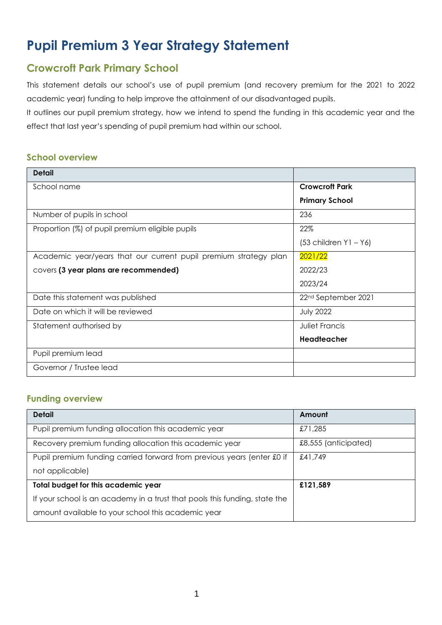# **Pupil Premium 3 Year Strategy Statement**

# **Crowcroft Park Primary School**

This statement details our school's use of pupil premium (and recovery premium for the 2021 to 2022 academic year) funding to help improve the attainment of our disadvantaged pupils.

It outlines our pupil premium strategy, how we intend to spend the funding in this academic year and the effect that last year's spending of pupil premium had within our school.

### **School overview**

| <b>Detail</b>                                                    |                                 |
|------------------------------------------------------------------|---------------------------------|
| School name                                                      | <b>Crowcroft Park</b>           |
|                                                                  | <b>Primary School</b>           |
| Number of pupils in school                                       | 236                             |
| Proportion (%) of pupil premium eligible pupils                  | 22%                             |
|                                                                  | $(53$ children $Y1 - Y6$        |
| Academic year/years that our current pupil premium strategy plan | 2021/22                         |
| covers (3 year plans are recommended)                            | 2022/23                         |
|                                                                  | 2023/24                         |
| Date this statement was published                                | 22 <sup>nd</sup> September 2021 |
| Date on which it will be reviewed                                | <b>July 2022</b>                |
| Statement authorised by                                          | Juliet Francis                  |
|                                                                  | Headteacher                     |
| Pupil premium lead                                               |                                 |
| Governor / Trustee lead                                          |                                 |

#### **Funding overview**

| <b>Detail</b>                                                              | Amount               |
|----------------------------------------------------------------------------|----------------------|
| Pupil premium funding allocation this academic year                        | £71,285              |
| Recovery premium funding allocation this academic year                     | £8,555 (anticipated) |
| Pupil premium funding carried forward from previous years (enter £0 if     | £41,749              |
| not applicable)                                                            |                      |
| Total budget for this academic year                                        | £121,589             |
| If your school is an academy in a trust that pools this funding, state the |                      |
| amount available to your school this academic year                         |                      |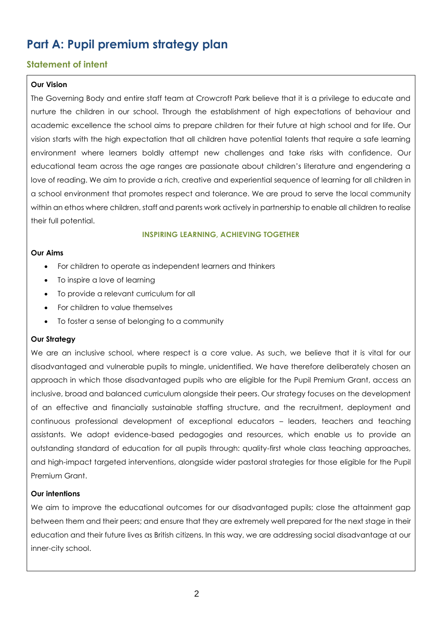# **Part A: Pupil premium strategy plan**

## **Statement of intent**

#### **Our Vision**

The Governing Body and entire staff team at Crowcroft Park believe that it is a privilege to educate and nurture the children in our school. Through the establishment of high expectations of behaviour and academic excellence the school aims to prepare children for their future at high school and for life. Our vision starts with the high expectation that all children have potential talents that require a safe learning environment where learners boldly attempt new challenges and take risks with confidence. Our educational team across the age ranges are passionate about children's literature and engendering a love of reading. We aim to provide a rich, creative and experiential sequence of learning for all children in a school environment that promotes respect and tolerance. We are proud to serve the local community within an ethos where children, staff and parents work actively in partnership to enable all children to realise their full potential.

#### **INSPIRING LEARNING, ACHIEVING TOGETHER**

#### **Our Aims**

- For children to operate as independent learners and thinkers
- To inspire a love of learning
- To provide a relevant curriculum for all
- For children to value themselves
- To foster a sense of belonging to a community

#### **Our Strategy**

We are an inclusive school, where respect is a core value. As such, we believe that it is vital for our disadvantaged and vulnerable pupils to mingle, unidentified. We have therefore deliberately chosen an approach in which those disadvantaged pupils who are eligible for the Pupil Premium Grant, access an inclusive, broad and balanced curriculum alongside their peers. Our strategy focuses on the development of an effective and financially sustainable staffing structure, and the recruitment, deployment and continuous professional development of exceptional educators – leaders, teachers and teaching assistants. We adopt evidence-based pedagogies and resources, which enable us to provide an outstanding standard of education for all pupils through: quality-first whole class teaching approaches, and high-impact targeted interventions, alongside wider pastoral strategies for those eligible for the Pupil Premium Grant.

#### **Our intentions**

We aim to improve the educational outcomes for our disadvantaged pupils; close the attainment gap between them and their peers; and ensure that they are extremely well prepared for the next stage in their education and their future lives as British citizens. In this way, we are addressing social disadvantage at our inner-city school.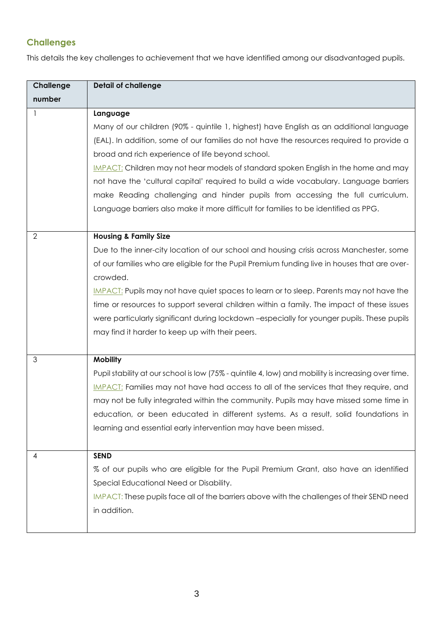# **Challenges**

This details the key challenges to achievement that we have identified among our disadvantaged pupils.

| Challenge      | <b>Detail of challenge</b>                                                                         |
|----------------|----------------------------------------------------------------------------------------------------|
| number         |                                                                                                    |
|                | Language                                                                                           |
|                | Many of our children (90% - quintile 1, highest) have English as an additional language            |
|                | (EAL). In addition, some of our families do not have the resources required to provide a           |
|                | broad and rich experience of life beyond school.                                                   |
|                | IMPACT: Children may not hear models of standard spoken English in the home and may                |
|                | not have the 'cultural capital' required to build a wide vocabulary. Language barriers             |
|                | make Reading challenging and hinder pupils from accessing the full curriculum.                     |
|                | Language barriers also make it more difficult for families to be identified as PPG.                |
|                |                                                                                                    |
| $\overline{2}$ | <b>Housing &amp; Family Size</b>                                                                   |
|                | Due to the inner-city location of our school and housing crisis across Manchester, some            |
|                | of our families who are eligible for the Pupil Premium funding live in houses that are over-       |
|                | crowded.                                                                                           |
|                | IMPACT: Pupils may not have quiet spaces to learn or to sleep. Parents may not have the            |
|                | time or resources to support several children within a family. The impact of these issues          |
|                | were particularly significant during lockdown -especially for younger pupils. These pupils         |
|                | may find it harder to keep up with their peers.                                                    |
|                |                                                                                                    |
| 3              | <b>Mobility</b>                                                                                    |
|                | Pupil stability at our school is low (75% - quintile 4, low) and mobility is increasing over time. |
|                | IMPACT: Families may not have had access to all of the services that they require, and             |
|                | may not be fully integrated within the community. Pupils may have missed some time in              |
|                | education, or been educated in different systems. As a result, solid foundations in                |
|                | learning and essential early intervention may have been missed.                                    |
|                |                                                                                                    |
| 4              | <b>SEND</b>                                                                                        |
|                | % of our pupils who are eligible for the Pupil Premium Grant, also have an identified              |
|                | Special Educational Need or Disability.                                                            |
|                | IMPACT: These pupils face all of the barriers above with the challenges of their SEND need         |
|                | in addition.                                                                                       |
|                |                                                                                                    |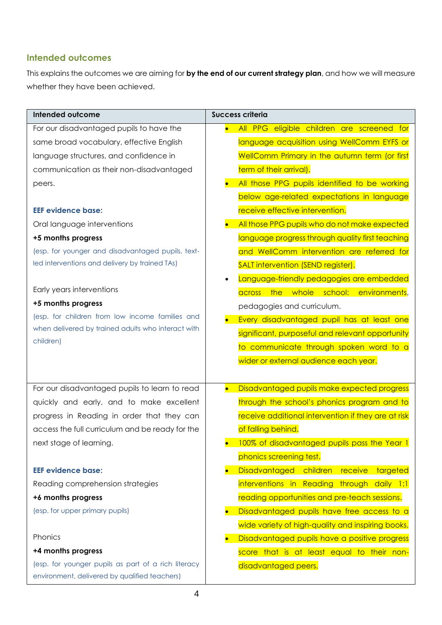## **Intended outcomes**

This explains the outcomes we are aiming for **by the end of our current strategy plan**, and how we will measure whether they have been achieved.

| <b>Intended outcome</b>                             | <b>Success criteria</b>                                    |  |
|-----------------------------------------------------|------------------------------------------------------------|--|
| For our disadvantaged pupils to have the            | All PPG eligible children are screened for<br>$\bullet$    |  |
| same broad vocabulary, effective English            | language acquisition using WellComm EYFS or                |  |
| language structures, and confidence in              | WellComm Primary in the autumn term (or first              |  |
| communication as their non-disadvantaged            | term of their arrival).                                    |  |
| peers.                                              | All those PPG pupils identified to be working              |  |
|                                                     | below age-related expectations in language                 |  |
| <b>EEF evidence base:</b>                           | receive effective intervention.                            |  |
| Oral language interventions                         | All those PPG pupils who do not make expected<br>$\bullet$ |  |
| +5 months progress                                  | language progress through quality first teaching           |  |
| (esp. for younger and disadvantaged pupils, text-   | and WellComm intervention are referred for                 |  |
| led interventions and delivery by trained TAs)      | SALT intervention (SEND register).                         |  |
|                                                     | Language-friendly pedagogies are embedded<br>$\bullet$     |  |
| Early years interventions                           | the whole school:<br>environments,<br>across               |  |
| +5 months progress                                  | pedagogies and curriculum.                                 |  |
| (esp. for children from low income families and     | Every disadvantaged pupil has at least one                 |  |
| when delivered by trained adults who interact with  | significant, purposeful and relevant opportunity           |  |
| children)                                           | to communicate through spoken word to a                    |  |
|                                                     | wider or external audience each year.                      |  |
|                                                     |                                                            |  |
| For our disadvantaged pupils to learn to read       | Disadvantaged pupils make expected progress<br>$\bullet$   |  |
| quickly and early, and to make excellent            | through the school's phonics program and to                |  |
| progress in Reading in order that they can          | receive additional intervention if they are at risk        |  |
| access the full curriculum and be ready for the     | of falling behind.                                         |  |
| next stage of learning.                             | 100% of disadvantaged pupils pass the Year 1               |  |
|                                                     | phonics screening test.                                    |  |
| <b>EEF evidence base:</b>                           | Disadvantaged children receive<br>targeted<br>$\bullet$    |  |
| Reading comprehension strategies                    | interventions in Reading through daily 1:1                 |  |
| +6 months progress                                  | reading opportunities and pre-teach sessions.              |  |
| (esp. for upper primary pupils)                     | Disadvantaged pupils have free access to a<br>$\bullet$    |  |
|                                                     | wide variety of high-quality and inspiring books.          |  |
| Phonics                                             | Disadvantaged pupils have a positive progress<br>$\bullet$ |  |
| +4 months progress                                  | score that is at least equal to their non-                 |  |
| (esp. for younger pupils as part of a rich literacy | disadvantaged peers.                                       |  |
| environment, delivered by qualified teachers)       |                                                            |  |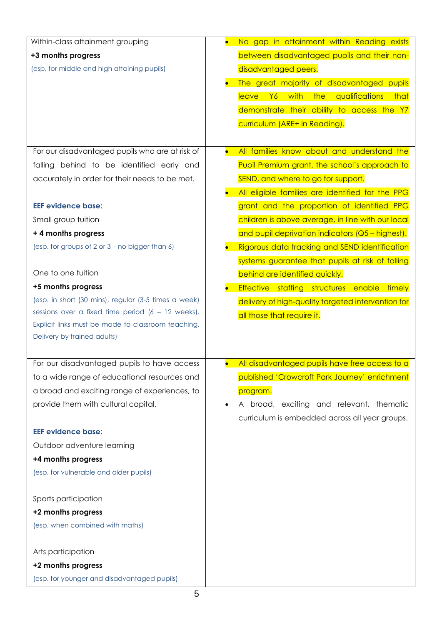| Within-class attainment grouping                                                  | No gap in attainment within Reading exists<br>$\bullet$     |
|-----------------------------------------------------------------------------------|-------------------------------------------------------------|
| +3 months progress                                                                | between disadvantaged pupils and their non-                 |
| (esp. for middle and high attaining pupils)                                       | disadvantaged peers.                                        |
|                                                                                   | The great majority of disadvantaged pupils                  |
|                                                                                   | <b>leave</b><br>Y6<br>with<br>the<br>qualifications<br>that |
|                                                                                   | demonstrate their ability to access the Y7                  |
|                                                                                   | curriculum (ARE+ in Reading).                               |
|                                                                                   |                                                             |
| For our disadvantaged pupils who are at risk of                                   | All families know about and understand the<br>$\bullet$     |
| falling behind to be identified early and                                         | Pupil Premium grant, the school's approach to               |
| accurately in order for their needs to be met.                                    | SEND, and where to go for support.                          |
|                                                                                   | All eligible families are identified for the PPG            |
| <b>EEF evidence base:</b>                                                         | grant and the proportion of identified PPG                  |
| Small group tuition                                                               | children is above average, in line with our local           |
| + 4 months progress                                                               | and pupil deprivation indicators (Q5 - highest).            |
| (esp. for groups of 2 or 3 – no bigger than 6)                                    | Rigorous data tracking and SEND identification<br>$\bullet$ |
|                                                                                   | systems guarantee that pupils at risk of falling            |
| One to one tuition                                                                | behind are identified quickly.                              |
| +5 months progress                                                                | Effective staffing structures enable<br>timely              |
| (esp. in short (30 mins), regular (3-5 times a week)                              | delivery of high-quality targeted intervention for          |
| sessions over a fixed time period $(6 - 12$ weeks).                               | all those that require it.                                  |
| Explicit links must be made to classroom teaching.<br>Delivery by trained adults) |                                                             |
|                                                                                   |                                                             |
| For our disadvantaged pupils to have access                                       | All disadvantaged pupils have free access to a              |
| to a wide range of educational resources and                                      | published 'Crowcroft Park Journey' enrichment               |
| a broad and exciting range of experiences, to                                     | program.                                                    |
| provide them with cultural capital.                                               | A broad, exciting and relevant, thematic<br>$\bullet$       |
|                                                                                   | curriculum is embedded across all year groups.              |
| <b>EEF evidence base:</b>                                                         |                                                             |
| Outdoor adventure learning                                                        |                                                             |
| +4 months progress                                                                |                                                             |
| (esp. for vulnerable and older pupils)                                            |                                                             |
|                                                                                   |                                                             |
| Sports participation                                                              |                                                             |
| +2 months progress                                                                |                                                             |
| (esp. when combined with maths)                                                   |                                                             |
|                                                                                   |                                                             |
| Arts participation                                                                |                                                             |
| +2 months progress                                                                |                                                             |
| (esp. for younger and disadvantaged pupils)                                       |                                                             |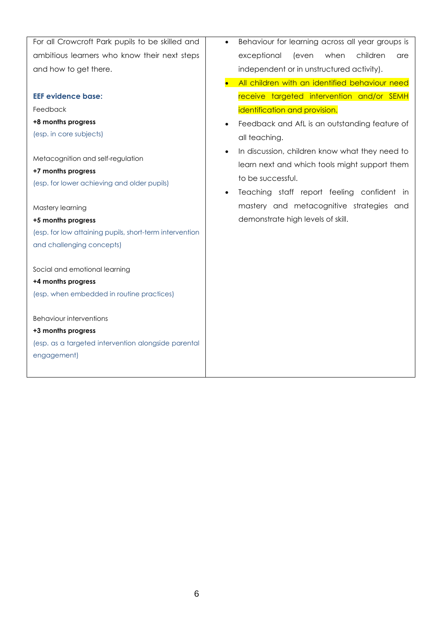| For all Crowcroft Park pupils to be skilled and         | Behaviour for learning across all year groups is<br>$\bullet$                                   |  |  |
|---------------------------------------------------------|-------------------------------------------------------------------------------------------------|--|--|
| ambitious learners who know their next steps            | exceptional<br>(even<br>when<br>children<br>are                                                 |  |  |
| and how to get there.                                   | independent or in unstructured activity).                                                       |  |  |
|                                                         | All children with an identified behaviour need                                                  |  |  |
| <b>EEF evidence base:</b>                               | receive targeted intervention and/or SEMH                                                       |  |  |
| Feedback                                                | identification and provision.                                                                   |  |  |
| +8 months progress                                      | Feedback and AfL is an outstanding feature of                                                   |  |  |
| (esp. in core subjects)                                 | all teaching.                                                                                   |  |  |
| Metacognition and self-regulation<br>+7 months progress | In discussion, children know what they need to<br>learn next and which tools might support them |  |  |
| (esp. for lower achieving and older pupils)             | to be successful.<br>Teaching staff report feeling confident in                                 |  |  |
| Mastery learning                                        | mastery and metacognitive strategies and                                                        |  |  |
| +5 months progress                                      | demonstrate high levels of skill.                                                               |  |  |
| (esp. for low attaining pupils, short-term intervention |                                                                                                 |  |  |
| and challenging concepts)                               |                                                                                                 |  |  |
| Social and emotional learning                           |                                                                                                 |  |  |
| +4 months progress                                      |                                                                                                 |  |  |
| (esp. when embedded in routine practices)               |                                                                                                 |  |  |
| <b>Behaviour interventions</b>                          |                                                                                                 |  |  |
| +3 months progress                                      |                                                                                                 |  |  |
| (esp. as a targeted intervention alongside parental     |                                                                                                 |  |  |
| engagement)                                             |                                                                                                 |  |  |
|                                                         |                                                                                                 |  |  |
|                                                         |                                                                                                 |  |  |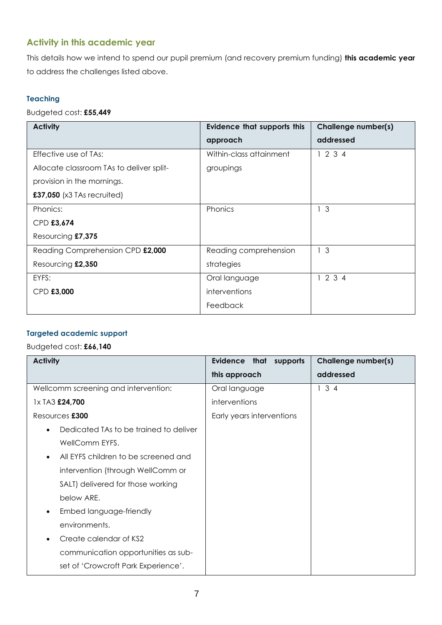## **Activity in this academic year**

This details how we intend to spend our pupil premium (and recovery premium funding) **this academic year** to address the challenges listed above.

#### **Teaching**

Budgeted cost: **£55,449**

| <b>Activity</b>                          | <b>Evidence that supports this</b> | Challenge number(s) |
|------------------------------------------|------------------------------------|---------------------|
|                                          | approach                           | addressed           |
| Effective use of TAs:                    | Within-class attainment            | 1234                |
| Allocate classroom TAs to deliver split- | groupings                          |                     |
| provision in the mornings.               |                                    |                     |
| £37,050 (x3 TAs recruited)               |                                    |                     |
| Phonics:                                 | Phonics                            | $\mathcal{S}$       |
| CPD £3,674                               |                                    |                     |
| Resourcing £7,375                        |                                    |                     |
| Reading Comprehension CPD £2,000         | Reading comprehension              | 1 <sup>3</sup>      |
| Resourcing £2,350                        | strategies                         |                     |
| EYFS:                                    | Oral language                      | 1234                |
| CPD £3,000                               | interventions                      |                     |
|                                          | Feedback                           |                     |

#### **Targeted academic support**

## Budgeted cost: **£66,140**

| <b>Activity</b>                                   | Evidence that<br>supports | Challenge number(s) |
|---------------------------------------------------|---------------------------|---------------------|
|                                                   | this approach             | addressed           |
| Wellcomm screening and intervention:              | Oral language             | 134                 |
| 1x TA3 £24,700                                    | interventions             |                     |
| Resources £300                                    | Early years interventions |                     |
| Dedicated TAs to be trained to deliver            |                           |                     |
| WellComm EYFS.                                    |                           |                     |
| All EYFS children to be screened and<br>$\bullet$ |                           |                     |
| intervention (through WellComm or                 |                           |                     |
| SALT) delivered for those working                 |                           |                     |
| below ARE.                                        |                           |                     |
| Embed language-friendly<br>$\bullet$              |                           |                     |
| environments.                                     |                           |                     |
| Create calendar of KS2                            |                           |                     |
| communication opportunities as sub-               |                           |                     |
| set of 'Crowcroft Park Experience'.               |                           |                     |